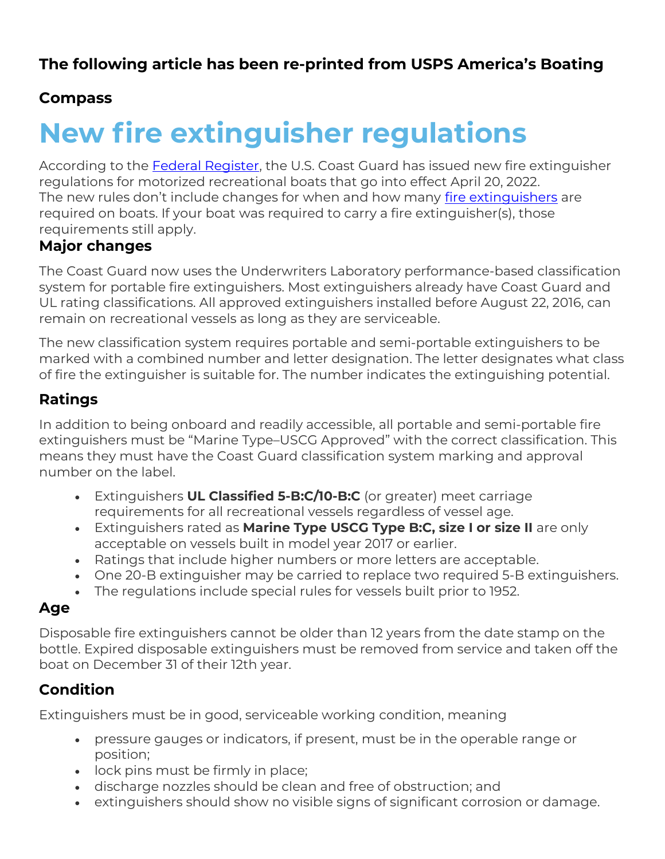## Compass

# New fire extinguisher regulations

According to the **Federal Register**, the U.S. Coast Guard has issued new fire extinguisher regulations for motorized recreational boats that go into effect April 20, 2022. The new rules don't include changes for when and how many fire extinguishers are required on boats. If your boat was required to carry a fire extinguisher(s), those requirements still apply.

#### Major changes

The Coast Guard now uses the Underwriters Laboratory performance-based classification system for portable fire extinguishers. Most extinguishers already have Coast Guard and UL rating classifications. All approved extinguishers installed before August 22, 2016, can remain on recreational vessels as long as they are serviceable.

The new classification system requires portable and semi-portable extinguishers to be marked with a combined number and letter designation. The letter designates what class of fire the extinguisher is suitable for. The number indicates the extinguishing potential.

#### Ratings

In addition to being onboard and readily accessible, all portable and semi-portable fire extinguishers must be "Marine Type–USCG Approved" with the correct classification. This means they must have the Coast Guard classification system marking and approval number on the label.

- Extinguishers UL Classified 5-B:C/10-B:C (or greater) meet carriage requirements for all recreational vessels regardless of vessel age.
- Extinguishers rated as Marine Type USCG Type B:C, size I or size II are only acceptable on vessels built in model year 2017 or earlier.
- Ratings that include higher numbers or more letters are acceptable.
- One 20-B extinguisher may be carried to replace two required 5-B extinguishers.
- The regulations include special rules for vessels built prior to 1952.

#### Age

Disposable fire extinguishers cannot be older than 12 years from the date stamp on the bottle. Expired disposable extinguishers must be removed from service and taken off the boat on December 31 of their 12th year.

### Condition

Extinguishers must be in good, serviceable working condition, meaning

- pressure gauges or indicators, if present, must be in the operable range or position;
- lock pins must be firmly in place;
- discharge nozzles should be clean and free of obstruction; and
- extinguishers should show no visible signs of significant corrosion or damage.